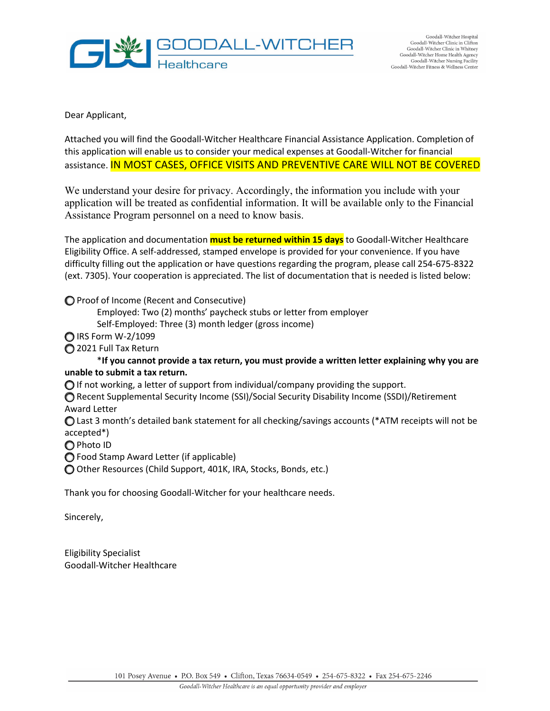

Dear Applicant,

Attached you will find the Goodall-Witcher Healthcare Financial Assistance Application. Completion of this application will enable us to consider your medical expenses at Goodall-Witcher for financial assistance. IN MOST CASES, OFFICE VISITS AND PREVENTIVE CARE WILL NOT BE COVERED

We understand your desire for privacy. Accordingly, the information you include with your application will be treated as confidential information. It will be available only to the Financial Assistance Program personnel on a need to know basis.

The application and documentation **must be returned within 15 days** to Goodall-Witcher Healthcare Eligibility Office. A self-addressed, stamped envelope is provided for your convenience. If you have difficulty filling out the application or have questions regarding the program, please call 254-675-8322 (ext. 7305). Your cooperation is appreciated. The list of documentation that is needed is listed below:

⃝ Proof of Income (Recent and Consecutive)

Employed: Two (2) months' paycheck stubs or letter from employer

Self-Employed: Three (3) month ledger (gross income)

⃝ IRS Form W-2/1099

⃝ 2021 Full Tax Return

\***If you cannot provide a tax return, you must provide a written letter explaining why you are unable to submit a tax return.**

⃝ If not working, a letter of support from individual/company providing the support.

◯ Recent Supplemental Security Income (SSI)/Social Security Disability Income (SSDI)/Retirement Award Letter

⃝ Last 3 month's detailed bank statement for all checking/savings accounts (\*ATM receipts will not be accepted\*)

⃝ Photo ID

◯ Food Stamp Award Letter (if applicable)

⃝ Other Resources (Child Support, 401K, IRA, Stocks, Bonds, etc.)

Thank you for choosing Goodall-Witcher for your healthcare needs.

Sincerely,

Eligibility Specialist Goodall-Witcher Healthcare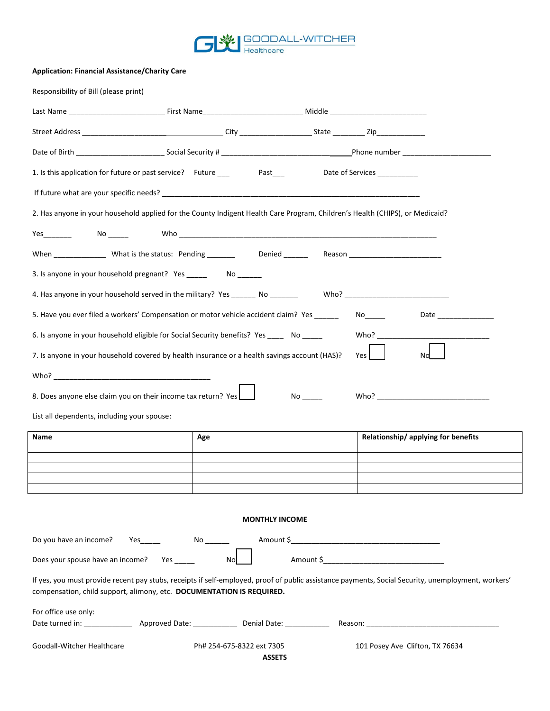

## **Application: Financial Assistance/Charity Care**

| Responsibility of Bill (please print)                                                                                                                                                                                       |                                                                                                                                                                                                                                                                                                                                                                                                                                            |  |                                    |  |  |  |  |
|-----------------------------------------------------------------------------------------------------------------------------------------------------------------------------------------------------------------------------|--------------------------------------------------------------------------------------------------------------------------------------------------------------------------------------------------------------------------------------------------------------------------------------------------------------------------------------------------------------------------------------------------------------------------------------------|--|------------------------------------|--|--|--|--|
|                                                                                                                                                                                                                             |                                                                                                                                                                                                                                                                                                                                                                                                                                            |  |                                    |  |  |  |  |
|                                                                                                                                                                                                                             |                                                                                                                                                                                                                                                                                                                                                                                                                                            |  |                                    |  |  |  |  |
|                                                                                                                                                                                                                             |                                                                                                                                                                                                                                                                                                                                                                                                                                            |  |                                    |  |  |  |  |
| 1. Is this application for future or past service? Future ___                                                                                                                                                               |                                                                                                                                                                                                                                                                                                                                                                                                                                            |  |                                    |  |  |  |  |
|                                                                                                                                                                                                                             |                                                                                                                                                                                                                                                                                                                                                                                                                                            |  |                                    |  |  |  |  |
|                                                                                                                                                                                                                             |                                                                                                                                                                                                                                                                                                                                                                                                                                            |  |                                    |  |  |  |  |
|                                                                                                                                                                                                                             |                                                                                                                                                                                                                                                                                                                                                                                                                                            |  |                                    |  |  |  |  |
|                                                                                                                                                                                                                             |                                                                                                                                                                                                                                                                                                                                                                                                                                            |  |                                    |  |  |  |  |
|                                                                                                                                                                                                                             |                                                                                                                                                                                                                                                                                                                                                                                                                                            |  |                                    |  |  |  |  |
|                                                                                                                                                                                                                             |                                                                                                                                                                                                                                                                                                                                                                                                                                            |  |                                    |  |  |  |  |
|                                                                                                                                                                                                                             |                                                                                                                                                                                                                                                                                                                                                                                                                                            |  |                                    |  |  |  |  |
| 6. Is anyone in your household eligible for Social Security benefits? Yes ______ No _____                                                                                                                                   |                                                                                                                                                                                                                                                                                                                                                                                                                                            |  |                                    |  |  |  |  |
| 7. Is anyone in your household covered by health insurance or a health savings account (HAS)?<br>Yes<br>No                                                                                                                  |                                                                                                                                                                                                                                                                                                                                                                                                                                            |  |                                    |  |  |  |  |
|                                                                                                                                                                                                                             |                                                                                                                                                                                                                                                                                                                                                                                                                                            |  |                                    |  |  |  |  |
| 8. Does anyone else claim you on their income tax return? Yes                                                                                                                                                               |                                                                                                                                                                                                                                                                                                                                                                                                                                            |  |                                    |  |  |  |  |
| List all dependents, including your spouse:                                                                                                                                                                                 |                                                                                                                                                                                                                                                                                                                                                                                                                                            |  |                                    |  |  |  |  |
| Name                                                                                                                                                                                                                        | Age                                                                                                                                                                                                                                                                                                                                                                                                                                        |  | Relationship/applying for benefits |  |  |  |  |
|                                                                                                                                                                                                                             |                                                                                                                                                                                                                                                                                                                                                                                                                                            |  |                                    |  |  |  |  |
|                                                                                                                                                                                                                             |                                                                                                                                                                                                                                                                                                                                                                                                                                            |  |                                    |  |  |  |  |
|                                                                                                                                                                                                                             |                                                                                                                                                                                                                                                                                                                                                                                                                                            |  |                                    |  |  |  |  |
|                                                                                                                                                                                                                             |                                                                                                                                                                                                                                                                                                                                                                                                                                            |  |                                    |  |  |  |  |
|                                                                                                                                                                                                                             | 2. Has anyone in your household applied for the County Indigent Health Care Program, Children's Health (CHIPS), or Medicaid?<br>5. Have you ever filed a workers' Compensation or motor vehicle accident claim? Yes _____<br><b>MONTHLY INCOME</b><br>Nol<br>Date turned in: ___________________ Approved Date: _______________ Denial Date: ____________<br>101 Posey Ave Clifton, TX 76634<br>Ph# 254-675-8322 ext 7305<br><b>ASSETS</b> |  |                                    |  |  |  |  |
| Do you have an income?                                                                                                                                                                                                      |                                                                                                                                                                                                                                                                                                                                                                                                                                            |  |                                    |  |  |  |  |
| Does your spouse have an income? Yes _____                                                                                                                                                                                  |                                                                                                                                                                                                                                                                                                                                                                                                                                            |  |                                    |  |  |  |  |
| If yes, you must provide recent pay stubs, receipts if self-employed, proof of public assistance payments, Social Security, unemployment, workers'<br>compensation, child support, alimony, etc. DOCUMENTATION IS REQUIRED. |                                                                                                                                                                                                                                                                                                                                                                                                                                            |  |                                    |  |  |  |  |
| For office use only:                                                                                                                                                                                                        |                                                                                                                                                                                                                                                                                                                                                                                                                                            |  |                                    |  |  |  |  |
|                                                                                                                                                                                                                             |                                                                                                                                                                                                                                                                                                                                                                                                                                            |  |                                    |  |  |  |  |
| Goodall-Witcher Healthcare                                                                                                                                                                                                  |                                                                                                                                                                                                                                                                                                                                                                                                                                            |  |                                    |  |  |  |  |